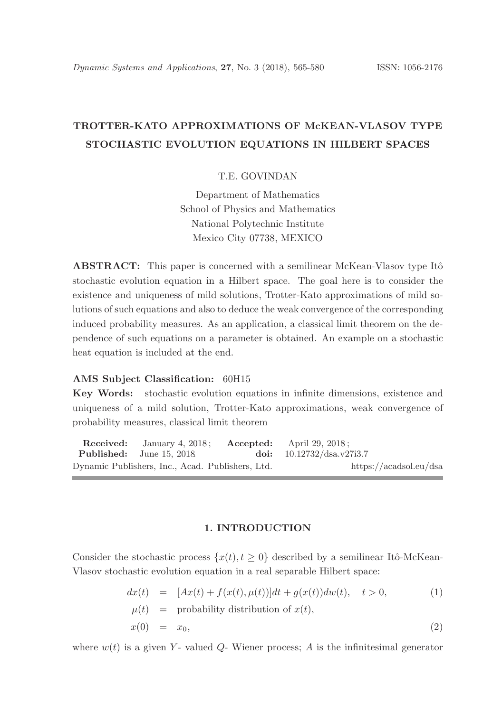# TROTTER-KATO APPROXIMATIONS OF McKEAN-VLASOV TYPE STOCHASTIC EVOLUTION EQUATIONS IN HILBERT SPACES

# T.E. GOVINDAN

Department of Mathematics School of Physics and Mathematics National Polytechnic Institute Mexico City 07738, MEXICO

ABSTRACT: This paper is concerned with a semilinear McKean-Vlasov type Itô stochastic evolution equation in a Hilbert space. The goal here is to consider the existence and uniqueness of mild solutions, Trotter-Kato approximations of mild solutions of such equations and also to deduce the weak convergence of the corresponding induced probability measures. As an application, a classical limit theorem on the dependence of such equations on a parameter is obtained. An example on a stochastic heat equation is included at the end.

#### AMS Subject Classification: 60H15

Key Words: stochastic evolution equations in infinite dimensions, existence and uniqueness of a mild solution, Trotter-Kato approximations, weak convergence of probability measures, classical limit theorem

Received: January 4, 2018; Accepted: April 29, 2018; Published: June 15, 2018. doi:  $10.12732/dsa.v27i3.7$ Dynamic Publishers, Inc., Acad. Publishers, Ltd. https://acadsol.eu/dsa

## 1. INTRODUCTION

Consider the stochastic process  $\{x(t), t \geq 0\}$  described by a semilinear Itô-McKean-Vlasov stochastic evolution equation in a real separable Hilbert space:

$$
dx(t) = [Ax(t) + f(x(t), \mu(t))]dt + g(x(t))dw(t), \quad t > 0,
$$
  
\n
$$
\mu(t) = \text{probability distribution of } x(t),
$$
  
\n
$$
x(0) = x_0,
$$
\n(2)

where  $w(t)$  is a given Y- valued Q- Wiener process; A is the infinitesimal generator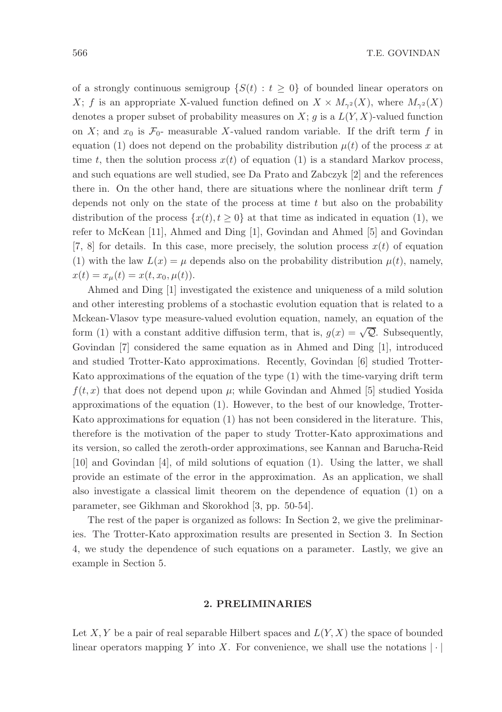of a strongly continuous semigroup  $\{S(t): t \geq 0\}$  of bounded linear operators on X; f is an appropriate X-valued function defined on  $X \times M_{\gamma^2}(X)$ , where  $M_{\gamma^2}(X)$ denotes a proper subset of probability measures on  $X$ ; q is a  $L(Y, X)$ -valued function on X; and  $x_0$  is  $\mathcal{F}_0$ - measurable X-valued random variable. If the drift term f in equation (1) does not depend on the probability distribution  $\mu(t)$  of the process x at time t, then the solution process  $x(t)$  of equation (1) is a standard Markov process, and such equations are well studied, see Da Prato and Zabczyk [2] and the references there in. On the other hand, there are situations where the nonlinear drift term f depends not only on the state of the process at time  $t$  but also on the probability distribution of the process  $\{x(t), t \geq 0\}$  at that time as indicated in equation (1), we refer to McKean [11], Ahmed and Ding [1], Govindan and Ahmed [5] and Govindan [7, 8] for details. In this case, more precisely, the solution process  $x(t)$  of equation (1) with the law  $L(x) = \mu$  depends also on the probability distribution  $\mu(t)$ , namely,  $x(t) = x_{\mu}(t) = x(t, x_0, \mu(t)).$ 

Ahmed and Ding [1] investigated the existence and uniqueness of a mild solution and other interesting problems of a stochastic evolution equation that is related to a Mckean-Vlasov type measure-valued evolution equation, namely, an equation of the form (1) with a constant additive diffusion term, that is,  $g(x) = \sqrt{Q}$ . Subsequently, Govindan [7] considered the same equation as in Ahmed and Ding [1], introduced and studied Trotter-Kato approximations. Recently, Govindan [6] studied Trotter-Kato approximations of the equation of the type (1) with the time-varying drift term  $f(t, x)$  that does not depend upon  $\mu$ ; while Govindan and Ahmed [5] studied Yosida approximations of the equation (1). However, to the best of our knowledge, Trotter-Kato approximations for equation (1) has not been considered in the literature. This, therefore is the motivation of the paper to study Trotter-Kato approximations and its version, so called the zeroth-order approximations, see Kannan and Barucha-Reid [10] and Govindan [4], of mild solutions of equation (1). Using the latter, we shall provide an estimate of the error in the approximation. As an application, we shall also investigate a classical limit theorem on the dependence of equation (1) on a parameter, see Gikhman and Skorokhod [3, pp. 50-54].

The rest of the paper is organized as follows: In Section 2, we give the preliminaries. The Trotter-Kato approximation results are presented in Section 3. In Section 4, we study the dependence of such equations on a parameter. Lastly, we give an example in Section 5.

#### 2. PRELIMINARIES

Let X, Y be a pair of real separable Hilbert spaces and  $L(Y, X)$  the space of bounded linear operators mapping Y into X. For convenience, we shall use the notations  $|\cdot|$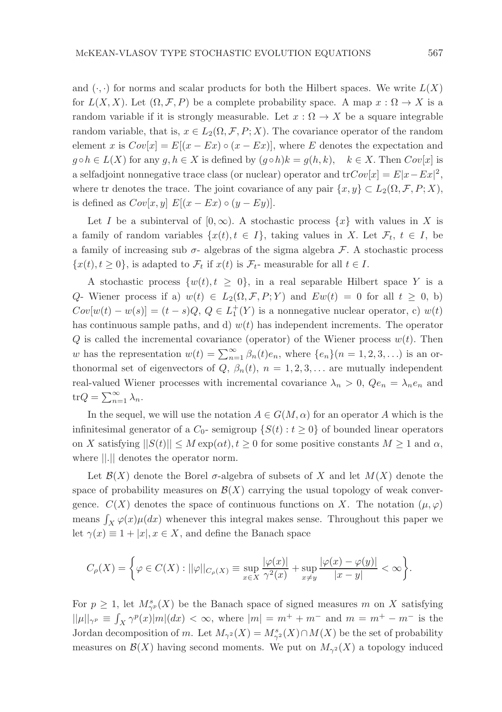and  $(\cdot, \cdot)$  for norms and scalar products for both the Hilbert spaces. We write  $L(X)$ for  $L(X, X)$ . Let  $(\Omega, \mathcal{F}, P)$  be a complete probability space. A map  $x : \Omega \to X$  is a random variable if it is strongly measurable. Let  $x : \Omega \to X$  be a square integrable random variable, that is,  $x \in L_2(\Omega, \mathcal{F}, P; X)$ . The covariance operator of the random element x is  $Cov[x] = E[(x - Ex) \circ (x - Ex)]$ , where E denotes the expectation and  $g \circ h \in L(X)$  for any  $g, h \in X$  is defined by  $(g \circ h)k = g(h, k), \quad k \in X$ . Then  $Cov[x]$  is a selfadjoint nonnegative trace class (or nuclear) operator and  $\text{tr}Cov[x] = E|x - Ex|^2$ , where tr denotes the trace. The joint covariance of any pair  $\{x, y\} \subset L_2(\Omega, \mathcal{F}, P; X)$ , is defined as  $Cov[x, y] E[(x - Ex) \circ (y - Ey)].$ 

Let I be a subinterval of  $[0, \infty)$ . A stochastic process  $\{x\}$  with values in X is a family of random variables  $\{x(t), t \in I\}$ , taking values in X. Let  $\mathcal{F}_t, t \in I$ , be a family of increasing sub  $\sigma$ - algebras of the sigma algebra  $\mathcal F$ . A stochastic process  $\{x(t), t \geq 0\}$ , is adapted to  $\mathcal{F}_t$  if  $x(t)$  is  $\mathcal{F}_t$ - measurable for all  $t \in I$ .

A stochastic process  $\{w(t), t \geq 0\}$ , in a real separable Hilbert space Y is a Q- Wiener process if a)  $w(t) \in L_2(\Omega, \mathcal{F}, P; Y)$  and  $Ew(t) = 0$  for all  $t \geq 0$ , b)  $Cov[w(t) - w(s)] = (t - s)Q, Q \in L_1^+(Y)$  is a nonnegative nuclear operator, c)  $w(t)$ has continuous sample paths, and d)  $w(t)$  has independent increments. The operator  $Q$  is called the incremental covariance (operator) of the Wiener process  $w(t)$ . Then w has the representation  $w(t) = \sum_{n=1}^{\infty} \beta_n(t) e_n$ , where  $\{e_n\}(n = 1, 2, 3, ...)$  is an orthonormal set of eigenvectors of Q,  $\beta_n(t)$ ,  $n = 1, 2, 3, \ldots$  are mutually independent real-valued Wiener processes with incremental covariance  $\lambda_n > 0$ ,  $Q_{\ell_n} = \lambda_n e_n$  and  $\text{tr}Q = \sum_{n=1}^{\infty} \lambda_n.$ 

In the sequel, we will use the notation  $A \in G(M, \alpha)$  for an operator A which is the infinitesimal generator of a  $C_0$ - semigroup  $\{S(t): t \geq 0\}$  of bounded linear operators on X satisfying  $||S(t)|| \leq M \exp(\alpha t), t \geq 0$  for some positive constants  $M \geq 1$  and  $\alpha$ , where ||.|| denotes the operator norm.

Let  $\mathcal{B}(X)$  denote the Borel  $\sigma$ -algebra of subsets of X and let  $M(X)$  denote the space of probability measures on  $\mathcal{B}(X)$  carrying the usual topology of weak convergence.  $C(X)$  denotes the space of continuous functions on X. The notation  $(\mu, \varphi)$ means  $\int_X \varphi(x) \mu(dx)$  whenever this integral makes sense. Throughout this paper we let  $\gamma(x) \equiv 1 + |x|, x \in X$ , and define the Banach space

$$
C_{\rho}(X) = \bigg\{ \varphi \in C(X) : ||\varphi||_{C_{\rho}(X)} \equiv \sup_{x \in X} \frac{|\varphi(x)|}{\gamma^2(x)} + \sup_{x \neq y} \frac{|\varphi(x) - \varphi(y)|}{|x - y|} < \infty \bigg\}.
$$

For  $p \geq 1$ , let  $M^s_{\gamma^p}(X)$  be the Banach space of signed measures m on X satisfying  $||\mu||_{\gamma^p} \equiv \int_X \gamma^p(x)|m|(dx) < \infty$ , where  $|m| = m^+ + m^-$  and  $m = m^+ - m^-$  is the Jordan decomposition of m. Let  $M_{\gamma^2}(X) = M_{\gamma^2}^s(X) \cap M(X)$  be the set of probability measures on  $\mathcal{B}(X)$  having second moments. We put on  $M_{\gamma^2}(X)$  a topology induced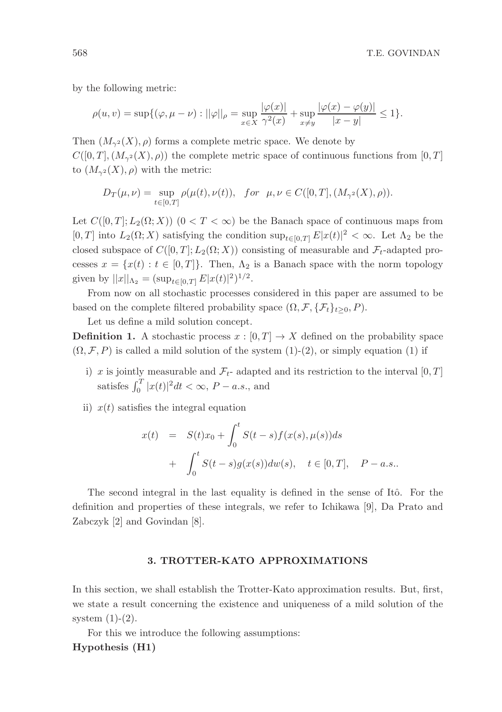by the following metric:

$$
\rho(u, v) = \sup \{ (\varphi, \mu - \nu) : ||\varphi||_{\rho} = \sup_{x \in X} \frac{|\varphi(x)|}{\gamma^2(x)} + \sup_{x \neq y} \frac{|\varphi(x) - \varphi(y)|}{|x - y|} \leq 1 \}.
$$

Then  $(M_{\gamma^2}(X), \rho)$  forms a complete metric space. We denote by  $C([0,T],(M_{\gamma^2}(X),\rho))$  the complete metric space of continuous functions from  $[0,T]$ to  $(M_{\gamma^2}(X), \rho)$  with the metric:

$$
D_T(\mu, \nu) = \sup_{t \in [0,T]} \rho(\mu(t), \nu(t)), \text{ for } \mu, \nu \in C([0,T], (M_{\gamma^2}(X), \rho)).
$$

Let  $C([0,T];L_2(\Omega;X))$   $(0 < T < \infty)$  be the Banach space of continuous maps from [0, T] into  $L_2(\Omega; X)$  satisfying the condition  $\sup_{t \in [0,T]} E|x(t)|^2 < \infty$ . Let  $\Lambda_2$  be the closed subspace of  $C([0, T]; L_2(\Omega; X))$  consisting of measurable and  $\mathcal{F}_t$ -adapted processes  $x = \{x(t) : t \in [0, T]\}\.$  Then,  $\Lambda_2$  is a Banach space with the norm topology given by  $||x||_{\Lambda_2} = (\sup_{t \in [0,T]} E |x(t)|^2)^{1/2}$ .

From now on all stochastic processes considered in this paper are assumed to be based on the complete filtered probability space  $(\Omega, \mathcal{F}, \{F_t\}_{t>0}, P)$ .

Let us define a mild solution concept.

**Definition 1.** A stochastic process  $x : [0, T] \rightarrow X$  defined on the probability space  $(\Omega, \mathcal{F}, P)$  is called a mild solution of the system  $(1)-(2)$ , or simply equation  $(1)$  if

- i) x is jointly measurable and  $\mathcal{F}_{t}$  adapted and its restriction to the interval  $[0, T]$ satisfes  $\int_0^T |x(t)|^2 dt < \infty$ ,  $P - a.s.$ , and
- ii)  $x(t)$  satisfies the integral equation

$$
x(t) = S(t)x_0 + \int_0^t S(t-s)f(x(s), \mu(s))ds
$$
  
+ 
$$
\int_0^t S(t-s)g(x(s))dw(s), \quad t \in [0, T], \quad P-a.s..
$$

The second integral in the last equality is defined in the sense of Itô. For the definition and properties of these integrals, we refer to Ichikawa [9], Da Prato and Zabczyk [2] and Govindan [8].

## 3. TROTTER-KATO APPROXIMATIONS

In this section, we shall establish the Trotter-Kato approximation results. But, first, we state a result concerning the existence and uniqueness of a mild solution of the system  $(1)-(2)$ .

For this we introduce the following assumptions:

# Hypothesis (H1)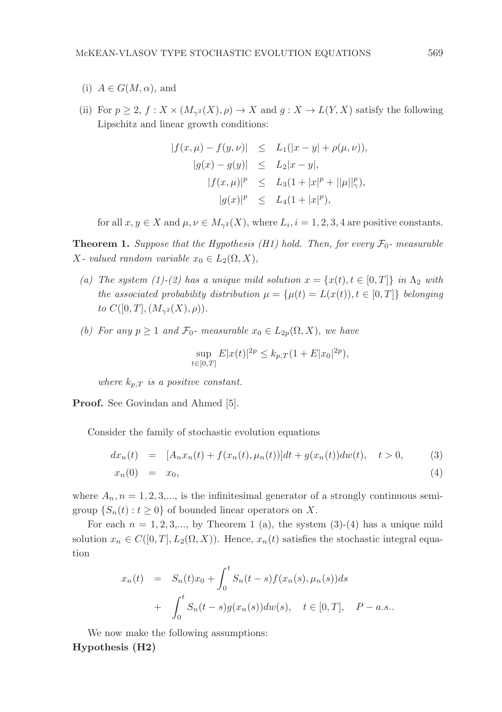- (i)  $A \in G(M, \alpha)$ , and
- (ii) For  $p \ge 2$ ,  $f : X \times (M_{\gamma^2}(X), \rho) \to X$  and  $q : X \to L(Y, X)$  satisfy the following Lipschitz and linear growth conditions:

$$
|f(x, \mu) - f(y, \nu)| \le L_1(|x - y| + \rho(\mu, \nu)),
$$
  
\n
$$
|g(x) - g(y)| \le L_2|x - y|,
$$
  
\n
$$
|f(x, \mu)|^p \le L_3(1 + |x|^p + ||\mu||^p_{\gamma}),
$$
  
\n
$$
|g(x)|^p \le L_4(1 + |x|^p),
$$

for all  $x, y \in X$  and  $\mu, \nu \in M_{\gamma^2}(X)$ , where  $L_i, i = 1, 2, 3, 4$  are positive constants.

**Theorem 1.** Suppose that the Hypothesis (H1) hold. Then, for every  $\mathcal{F}_0$ - measurable X- valued random variable  $x_0 \in L_2(\Omega, X)$ ,

- (a) The system (1)-(2) has a unique mild solution  $x = \{x(t), t \in [0, T]\}\$ in  $\Lambda_2$  with the associated probability distribution  $\mu = {\mu(t) = L(x(t)), t \in [0, T]}$  belonging to  $C([0, T], (M_{\gamma^2}(X), \rho)).$
- (b) For any  $p \ge 1$  and  $\mathcal{F}_0$  measurable  $x_0 \in L_{2p}(\Omega, X)$ , we have

$$
\sup_{t \in [0,T]} E|x(t)|^{2p} \le k_{p,T} (1 + E|x_0|^{2p}),
$$

where  $k_{p,T}$  is a positive constant.

Proof. See Govindan and Ahmed [5].

Consider the family of stochastic evolution equations

$$
dx_n(t) = [A_n x_n(t) + f(x_n(t), \mu_n(t))]dt + g(x_n(t))dw(t), \quad t > 0,
$$
 (3)

$$
x_n(0) = x_0,\tag{4}
$$

where  $A_n$ ,  $n = 1, 2, 3,...$ , is the infinitesimal generator of a strongly continuous semigroup  $\{S_n(t): t \geq 0\}$  of bounded linear operators on X.

For each  $n = 1, 2, 3, \dots$ , by Theorem 1 (a), the system (3)-(4) has a unique mild solution  $x_n \in C([0,T], L_2(\Omega, X))$ . Hence,  $x_n(t)$  satisfies the stochastic integral equation

$$
x_n(t) = S_n(t)x_0 + \int_0^t S_n(t-s)f(x_n(s), \mu_n(s))ds
$$
  
+ 
$$
\int_0^t S_n(t-s)g(x_n(s))dw(s), \quad t \in [0, T], \quad P-a.s..
$$

We now make the following assumptions: Hypothesis (H2)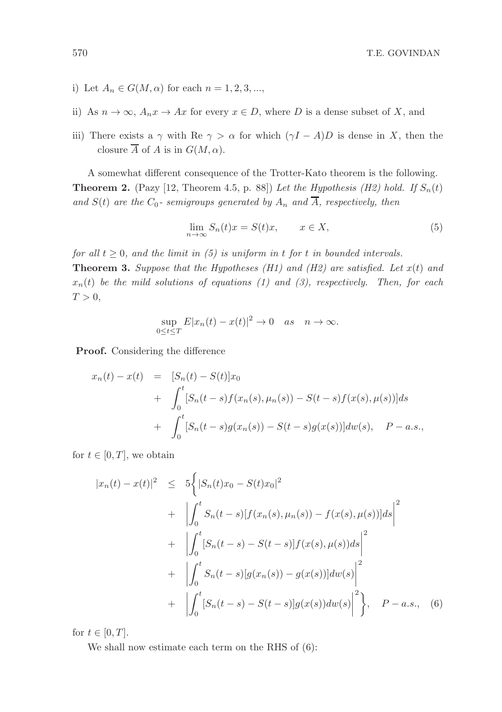- i) Let  $A_n \in G(M, \alpha)$  for each  $n = 1, 2, 3, \dots$
- ii) As  $n \to \infty$ ,  $A_n x \to Ax$  for every  $x \in D$ , where D is a dense subset of X, and
- iii) There exists a  $\gamma$  with Re  $\gamma > \alpha$  for which  $(\gamma I A)D$  is dense in X, then the closure  $\overline{A}$  of A is in  $G(M, \alpha)$ .

A somewhat different consequence of the Trotter-Kato theorem is the following. **Theorem 2.** (Pazy [12, Theorem 4.5, p. 88]) Let the Hypothesis (H2) hold. If  $S_n(t)$ and  $S(t)$  are the  $C_0$ - semigroups generated by  $A_n$  and  $\overline{A}$ , respectively, then

$$
\lim_{n \to \infty} S_n(t)x = S(t)x, \qquad x \in X,
$$
\n(5)

for all  $t \geq 0$ , and the limit in (5) is uniform in t for t in bounded intervals. **Theorem 3.** Suppose that the Hypotheses (H1) and (H2) are satisfied. Let  $x(t)$  and

 $x_n(t)$  be the mild solutions of equations (1) and (3), respectively. Then, for each  $T > 0$ ,

$$
\sup_{0 \le t \le T} E|x_n(t) - x(t)|^2 \to 0 \quad as \quad n \to \infty.
$$

Proof. Considering the difference

$$
x_n(t) - x(t) = [S_n(t) - S(t)]x_0
$$
  
+ 
$$
\int_0^t [S_n(t - s)f(x_n(s), \mu_n(s)) - S(t - s)f(x(s), \mu(s))]ds
$$
  
+ 
$$
\int_0^t [S_n(t - s)g(x_n(s)) - S(t - s)g(x(s))]dw(s), \quad P - a.s.,
$$

for  $t \in [0, T]$ , we obtain

$$
|x_n(t) - x(t)|^2 \le 5 \left\{ |S_n(t)x_0 - S(t)x_0|^2 + \left| \int_0^t S_n(t-s) [f(x_n(s), \mu_n(s)) - f(x(s), \mu(s))] ds \right|^2 + \left| \int_0^t [S_n(t-s) - S(t-s)] f(x(s), \mu(s)) ds \right|^2 + \left| \int_0^t S_n(t-s) [g(x_n(s)) - g(x(s))] dw(s) \right|^2 + \left| \int_0^t [S_n(t-s) - S(t-s)] g(x(s)) dw(s) \right|^2 \right\}, \quad P - a.s., \quad (6)
$$

for  $t \in [0, T]$ .

We shall now estimate each term on the RHS of (6):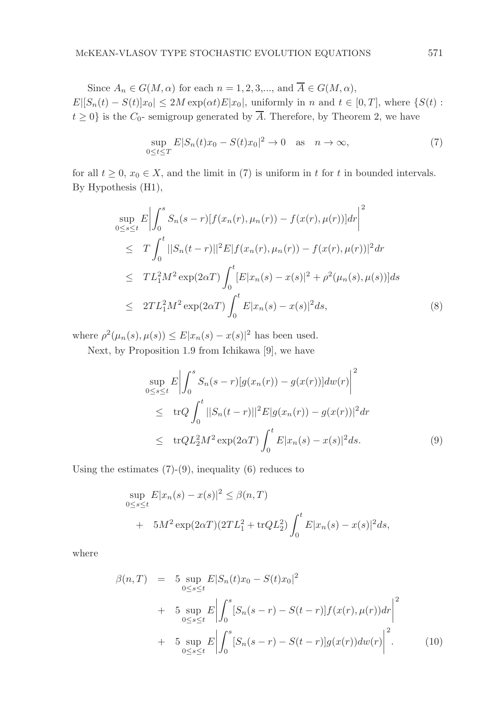Since  $A_n \in G(M, \alpha)$  for each  $n = 1, 2, 3, \dots$ , and  $\overline{A} \in G(M, \alpha)$ ,

 $E|[S_n(t) - S(t)]x_0] \leq 2M \exp(\alpha t)E|x_0|$ , uniformly in n and  $t \in [0,T]$ , where  $\{S(t) :$  $t \geq 0$  is the  $C_0$ - semigroup generated by  $\overline{A}$ . Therefore, by Theorem 2, we have

$$
\sup_{0 \le t \le T} E|S_n(t)x_0 - S(t)x_0|^2 \to 0 \quad \text{as} \quad n \to \infty,
$$
\n<sup>(7)</sup>

for all  $t \geq 0$ ,  $x_0 \in X$ , and the limit in (7) is uniform in t for t in bounded intervals. By Hypothesis (H1),

$$
\sup_{0 \le s \le t} E \left| \int_{0}^{s} S_{n}(s-r) [f(x_{n}(r), \mu_{n}(r)) - f(x(r), \mu(r))] dr \right|^{2}
$$
\n
$$
\le T \int_{0}^{t} ||S_{n}(t-r)||^{2} E |f(x_{n}(r), \mu_{n}(r)) - f(x(r), \mu(r))|^{2} dr
$$
\n
$$
\le TL_{1}^{2} M^{2} \exp(2\alpha T) \int_{0}^{t} [E |x_{n}(s) - x(s)|^{2} + \rho^{2}(\mu_{n}(s), \mu(s))] ds
$$
\n
$$
\le 2TL_{1}^{2} M^{2} \exp(2\alpha T) \int_{0}^{t} E |x_{n}(s) - x(s)|^{2} ds,
$$
\n(8)

where  $\rho^2(\mu_n(s), \mu(s)) \leq E |x_n(s) - x(s)|^2$  has been used.

Next, by Proposition 1.9 from Ichikawa [9], we have

$$
\sup_{0 \le s \le t} E \left| \int_0^s S_n(s-r) [g(x_n(r)) - g(x(r))] dw(r) \right|^2
$$
  
\n
$$
\le \text{tr} Q \int_0^t ||S_n(t-r)||^2 E |g(x_n(r)) - g(x(r))|^2 dr
$$
  
\n
$$
\le \text{tr} Q L_2^2 M^2 \exp(2\alpha T) \int_0^t E |x_n(s) - x(s)|^2 ds. \tag{9}
$$

Using the estimates  $(7)-(9)$ , inequality  $(6)$  reduces to

$$
\sup_{0 \le s \le t} E|x_n(s) - x(s)|^2 \le \beta(n, T)
$$
  
+  $5M^2 \exp(2\alpha T)(2TL_1^2 + trQL_2^2) \int_0^t E|x_n(s) - x(s)|^2 ds,$ 

where

$$
\beta(n,T) = 5 \sup_{0 \le s \le t} E|S_n(t)x_0 - S(t)x_0|^2 \n+ 5 \sup_{0 \le s \le t} E\left|\int_0^s [S_n(s-r) - S(t-r)]f(x(r), \mu(r))dr\right|^2 \n+ 5 \sup_{0 \le s \le t} E\left|\int_0^s [S_n(s-r) - S(t-r)]g(x(r))dw(r)\right|^2.
$$
\n(10)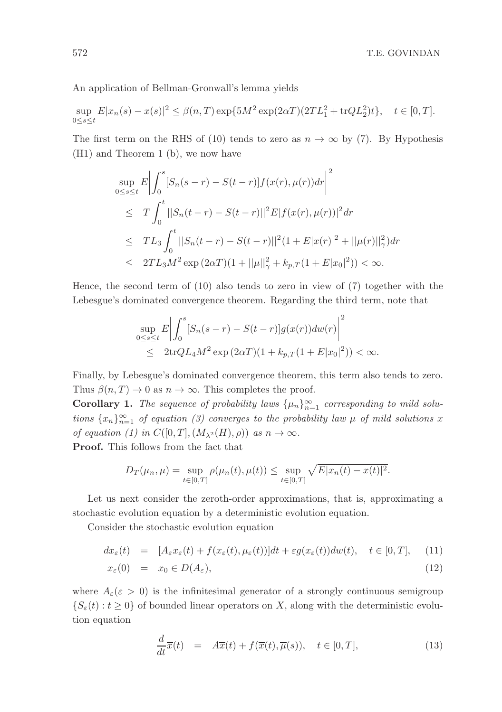An application of Bellman-Gronwall's lemma yields

$$
\sup_{0 \le s \le t} E|x_n(s) - x(s)|^2 \le \beta(n, T) \exp\{5M^2 \exp(2\alpha T)(2TL_1^2 + \text{tr}QL_2^2)t\}, \quad t \in [0, T].
$$

The first term on the RHS of (10) tends to zero as  $n \to \infty$  by (7). By Hypothesis (H1) and Theorem 1 (b), we now have

$$
\sup_{0 \le s \le t} E \left| \int_0^s [S_n(s-r) - S(t-r)] f(x(r), \mu(r)) dr \right|^2
$$
  
\n
$$
\le T \int_0^t ||S_n(t-r) - S(t-r)||^2 E |f(x(r), \mu(r))|^2 dr
$$
  
\n
$$
\le TL_3 \int_0^t ||S_n(t-r) - S(t-r)||^2 (1 + E |x(r)|^2 + ||\mu(r)||^2_\gamma ) dr
$$
  
\n
$$
\le 2TL_3 M^2 \exp(2\alpha T)(1 + ||\mu||^2_\gamma + k_{p,T}(1 + E |x_0|^2)) < \infty.
$$

Hence, the second term of (10) also tends to zero in view of (7) together with the Lebesgue's dominated convergence theorem. Regarding the third term, note that

$$
\sup_{0 \le s \le t} E \left| \int_0^s [S_n(s-r) - S(t-r)] g(x(r)) dw(r) \right|^2
$$
  
 
$$
\le 2 \text{tr} Q L_4 M^2 \exp(2\alpha T) (1 + k_{p,T} (1 + E |x_0|^2)) < \infty.
$$

Finally, by Lebesgue's dominated convergence theorem, this term also tends to zero. Thus  $\beta(n,T) \to 0$  as  $n \to \infty$ . This completes the proof.

**Corollary 1.** The sequence of probability laws  $\{\mu_n\}_{n=1}^{\infty}$  corresponding to mild solutions  $\{x_n\}_{n=1}^{\infty}$  of equation (3) converges to the probability law  $\mu$  of mild solutions x of equation (1) in  $C([0,T],(M_{\lambda^2}(H),\rho))$  as  $n\to\infty$ .

Proof. This follows from the fact that

$$
D_T(\mu_n, \mu) = \sup_{t \in [0,T]} \rho(\mu_n(t), \mu(t)) \le \sup_{t \in [0,T]} \sqrt{E|x_n(t) - x(t)|^2}.
$$

Let us next consider the zeroth-order approximations, that is, approximating a stochastic evolution equation by a deterministic evolution equation.

Consider the stochastic evolution equation

$$
dx_{\varepsilon}(t) = [A_{\varepsilon}x_{\varepsilon}(t) + f(x_{\varepsilon}(t), \mu_{\varepsilon}(t))]dt + \varepsilon g(x_{\varepsilon}(t))dw(t), \quad t \in [0, T], \quad (11)
$$

$$
x_{\varepsilon}(0) = x_0 \in D(A_{\varepsilon}), \tag{12}
$$

where  $A_{\varepsilon}(\varepsilon > 0)$  is the infinitesimal generator of a strongly continuous semigroup  $\{S_{\varepsilon}(t): t \geq 0\}$  of bounded linear operators on X, along with the deterministic evolution equation

$$
\frac{d}{dt}\overline{x}(t) = A\overline{x}(t) + f(\overline{x}(t), \overline{\mu}(s)), \quad t \in [0, T],
$$
\n(13)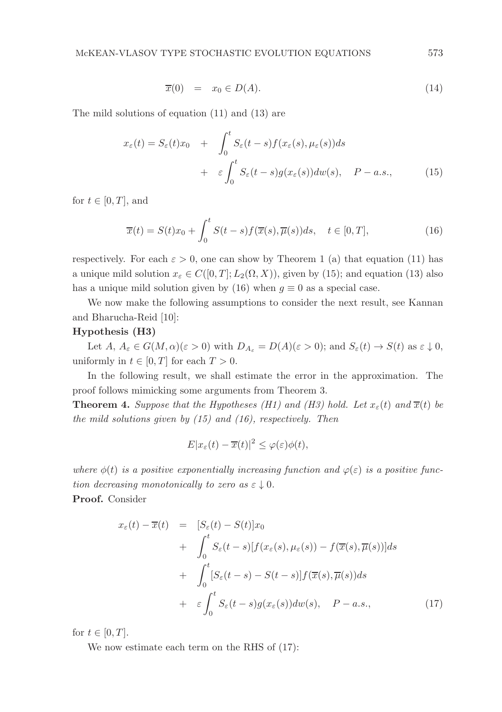$$
\overline{x}(0) = x_0 \in D(A). \tag{14}
$$

The mild solutions of equation (11) and (13) are

$$
x_{\varepsilon}(t) = S_{\varepsilon}(t)x_0 + \int_0^t S_{\varepsilon}(t-s)f(x_{\varepsilon}(s), \mu_{\varepsilon}(s))ds
$$
  
+ 
$$
\varepsilon \int_0^t S_{\varepsilon}(t-s)g(x_{\varepsilon}(s))dw(s), \quad P - a.s.,
$$
 (15)

for  $t \in [0, T]$ , and

$$
\overline{x}(t) = S(t)x_0 + \int_0^t S(t-s)f(\overline{x}(s), \overline{\mu}(s))ds, \quad t \in [0, T],
$$
\n(16)

respectively. For each  $\varepsilon > 0$ , one can show by Theorem 1 (a) that equation (11) has a unique mild solution  $x_{\varepsilon} \in C([0,T];L_2(\Omega,X))$ , given by (15); and equation (13) also has a unique mild solution given by (16) when  $g \equiv 0$  as a special case.

We now make the following assumptions to consider the next result, see Kannan and Bharucha-Reid [10]:

# Hypothesis (H3)

Let  $A, A_{\varepsilon} \in G(M, \alpha)(\varepsilon > 0)$  with  $D_{A_{\varepsilon}} = D(A)(\varepsilon > 0)$ ; and  $S_{\varepsilon}(t) \to S(t)$  as  $\varepsilon \downarrow 0$ , uniformly in  $t \in [0, T]$  for each  $T > 0$ .

In the following result, we shall estimate the error in the approximation. The proof follows mimicking some arguments from Theorem 3.

**Theorem 4.** Suppose that the Hypotheses (H1) and (H3) hold. Let  $x_{\varepsilon}(t)$  and  $\overline{x}(t)$  be the mild solutions given by  $(15)$  and  $(16)$ , respectively. Then

$$
E|x_{\varepsilon}(t)-\overline{x}(t)|^2 \leq \varphi(\varepsilon)\phi(t),
$$

where  $\phi(t)$  is a positive exponentially increasing function and  $\varphi(\varepsilon)$  is a positive function decreasing monotonically to zero as  $\varepsilon \downarrow 0$ .

Proof. Consider

$$
x_{\varepsilon}(t) - \overline{x}(t) = [S_{\varepsilon}(t) - S(t)]x_0
$$
  
+ 
$$
\int_0^t S_{\varepsilon}(t-s)[f(x_{\varepsilon}(s), \mu_{\varepsilon}(s)) - f(\overline{x}(s), \overline{\mu}(s))]ds
$$
  
+ 
$$
\int_0^t [S_{\varepsilon}(t-s) - S(t-s)]f(\overline{x}(s), \overline{\mu}(s))ds
$$
  
+ 
$$
\varepsilon \int_0^t S_{\varepsilon}(t-s)g(x_{\varepsilon}(s))dw(s), \quad P - a.s.,
$$
 (17)

for  $t \in [0, T]$ .

We now estimate each term on the RHS of (17):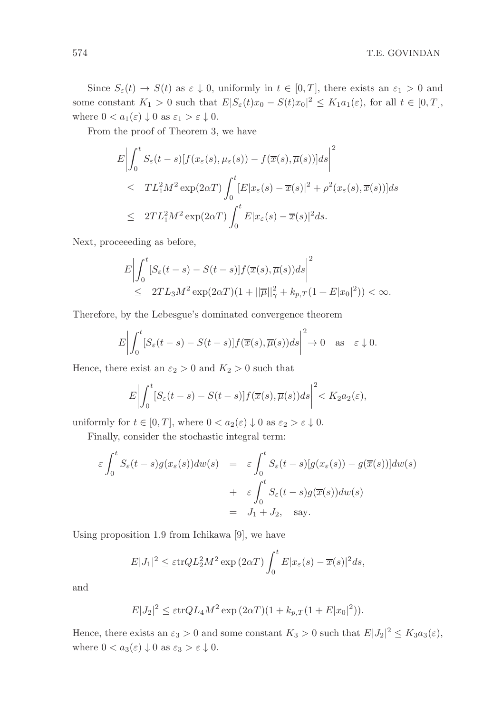Since  $S_{\varepsilon}(t) \to S(t)$  as  $\varepsilon \downarrow 0$ , uniformly in  $t \in [0, T]$ , there exists an  $\varepsilon_1 > 0$  and some constant  $K_1 > 0$  such that  $E|S_{\varepsilon}(t)x_0 - S(t)x_0|^2 \le K_1a_1(\varepsilon)$ , for all  $t \in [0, T]$ , where  $0 < a_1(\varepsilon) \downarrow 0$  as  $\varepsilon_1 > \varepsilon \downarrow 0$ .

From the proof of Theorem 3, we have

$$
E\left|\int_{0}^{t} S_{\varepsilon}(t-s)[f(x_{\varepsilon}(s), \mu_{\varepsilon}(s)) - f(\overline{x}(s), \overline{\mu}(s))]ds\right|^{2}
$$
  
\n
$$
\leq TL_{1}^{2}M^{2} \exp(2\alpha T) \int_{0}^{t} [E|x_{\varepsilon}(s) - \overline{x}(s)|^{2} + \rho^{2}(x_{\varepsilon}(s), \overline{x}(s))]ds
$$
  
\n
$$
\leq 2TL_{1}^{2}M^{2} \exp(2\alpha T) \int_{0}^{t} E|x_{\varepsilon}(s) - \overline{x}(s)|^{2}ds.
$$

Next, proceeeding as before,

$$
E\left|\int_0^t [S_\varepsilon(t-s)-S(t-s)]f(\overline{x}(s),\overline{\mu}(s))ds\right|^2\leq 2TL_3M^2\exp(2\alpha T)(1+||\overline{\mu}||^2_\gamma+k_{p,T}(1+E|x_0|^2))<\infty.
$$

Therefore, by the Lebesgue's dominated convergence theorem

$$
E\bigg|\int_0^t [S_{\varepsilon}(t-s)-S(t-s)]f(\overline{x}(s),\overline{\mu}(s))ds\bigg|^2\to 0 \quad \text{as} \quad \varepsilon\downarrow 0.
$$

Hence, there exist an  $\varepsilon_2 > 0$  and  $K_2 > 0$  such that

$$
E\bigg|\int_0^t [S_{\varepsilon}(t-s)-S(t-s)]f(\overline{x}(s),\overline{\mu}(s))ds\bigg|^2 < K_2a_2(\varepsilon),
$$

uniformly for  $t \in [0, T]$ , where  $0 < a_2(\varepsilon) \downarrow 0$  as  $\varepsilon_2 > \varepsilon \downarrow 0$ .

Finally, consider the stochastic integral term:

$$
\varepsilon \int_0^t S_{\varepsilon}(t-s)g(x_{\varepsilon}(s))dw(s) = \varepsilon \int_0^t S_{\varepsilon}(t-s)[g(x_{\varepsilon}(s)) - g(\overline{x}(s))]dw(s)
$$
  
+ 
$$
\varepsilon \int_0^t S_{\varepsilon}(t-s)g(\overline{x}(s))dw(s)
$$
  
=  $J_1 + J_2$ , say.

Using proposition 1.9 from Ichikawa [9], we have

$$
E|J_1|^2 \le \varepsilon \text{tr} Q L_2^2 M^2 \exp(2\alpha T) \int_0^t E|x_{\varepsilon}(s) - \overline{x}(s)|^2 ds,
$$

and

$$
E|J_2|^2 \le \varepsilon \text{tr} Q L_4 M^2 \exp(2\alpha T)(1 + k_{p,T}(1 + E|x_0|^2)).
$$

Hence, there exists an  $\varepsilon_3 > 0$  and some constant  $K_3 > 0$  such that  $E|J_2|^2 \le K_3 a_3(\varepsilon)$ , where  $0 < a_3(\varepsilon) \downarrow 0$  as  $\varepsilon_3 > \varepsilon \downarrow 0$ .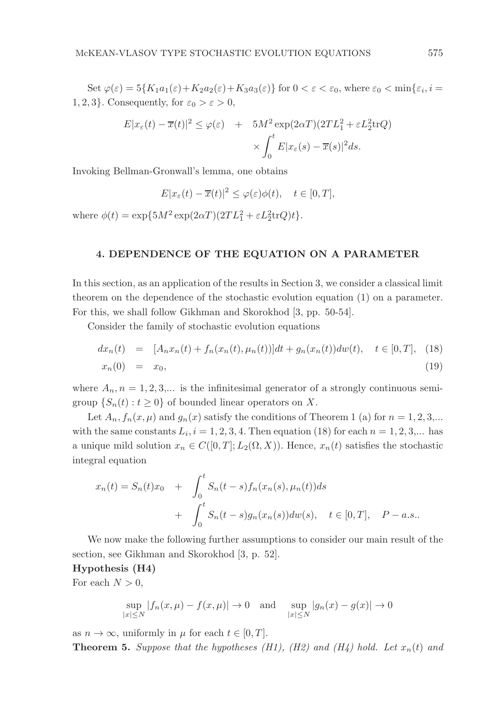Set  $\varphi(\varepsilon) = 5\{K_1a_1(\varepsilon) + K_2a_2(\varepsilon) + K_3a_3(\varepsilon)\}\$ for  $0 < \varepsilon < \varepsilon_0$ , where  $\varepsilon_0 < \min\{\varepsilon_i, i =$ 1, 2, 3}. Consequently, for  $\varepsilon_0 > \varepsilon > 0$ ,

$$
E|x_{\varepsilon}(t) - \overline{x}(t)|^2 \le \varphi(\varepsilon) + 5M^2 \exp(2\alpha T)(2TL_1^2 + \varepsilon L_2^2 \text{tr}Q)
$$

$$
\times \int_0^t E|x_{\varepsilon}(s) - \overline{x}(s)|^2 ds.
$$

Invoking Bellman-Gronwall's lemma, one obtains

$$
E|x_{\varepsilon}(t) - \overline{x}(t)|^2 \le \varphi(\varepsilon)\phi(t), \quad t \in [0, T],
$$

where  $\phi(t) = \exp\{5M^2 \exp(2\alpha T)(2TL_1^2 + \varepsilon L_2^2 \text{tr}Q)t\}.$ 

## 4. DEPENDENCE OF THE EQUATION ON A PARAMETER

In this section, as an application of the results in Section 3, we consider a classical limit theorem on the dependence of the stochastic evolution equation (1) on a parameter. For this, we shall follow Gikhman and Skorokhod [3, pp. 50-54].

Consider the family of stochastic evolution equations

$$
dx_n(t) = [A_n x_n(t) + f_n(x_n(t), \mu_n(t))]dt + g_n(x_n(t))dw(t), \quad t \in [0, T], \quad (18)
$$
  

$$
x_n(0) = x_0,
$$
 (19)

where  $A_n$ ,  $n = 1, 2, 3,...$  is the infinitesimal generator of a strongly continuous semigroup  $\{S_n(t): t \geq 0\}$  of bounded linear operators on X.

Let  $A_n, f_n(x, \mu)$  and  $g_n(x)$  satisfy the conditions of Theorem 1 (a) for  $n = 1, 2, 3,...$ with the same constants  $L_i$ ,  $i = 1, 2, 3, 4$ . Then equation (18) for each  $n = 1, 2, 3,...$  has a unique mild solution  $x_n \in C([0, T]; L_2(\Omega, X))$ . Hence,  $x_n(t)$  satisfies the stochastic integral equation

$$
x_n(t) = S_n(t)x_0 + \int_0^t S_n(t-s) f_n(x_n(s), \mu_n(t)) ds
$$
  
+ 
$$
\int_0^t S_n(t-s) g_n(x_n(s)) dw(s), \quad t \in [0, T], \quad P-a.s..
$$

We now make the following further assumptions to consider our main result of the section, see Gikhman and Skorokhod [3, p. 52].

#### Hypothesis (H4)

For each  $N > 0$ ,

$$
\sup_{|x| \le N} |f_n(x, \mu) - f(x, \mu)| \to 0 \quad \text{and} \quad \sup_{|x| \le N} |g_n(x) - g(x)| \to 0
$$

as  $n \to \infty$ , uniformly in  $\mu$  for each  $t \in [0, T]$ .

**Theorem 5.** Suppose that the hypotheses (H1), (H2) and (H4) hold. Let  $x_n(t)$  and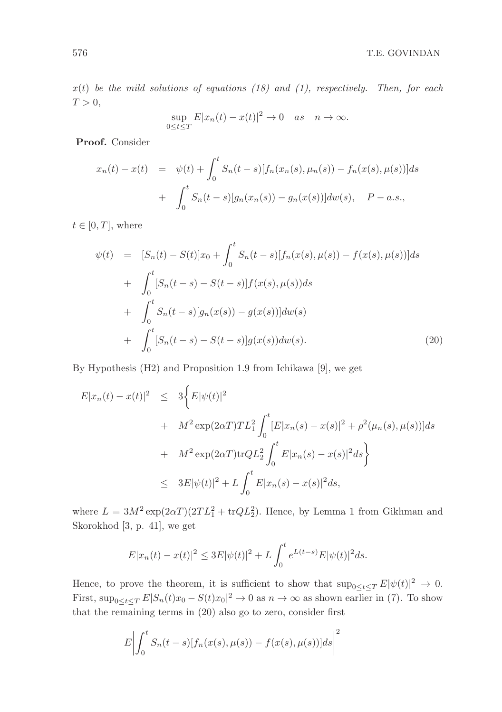$x(t)$  be the mild solutions of equations (18) and (1), respectively. Then, for each  $T > 0$ ,

$$
\sup_{0 \le t \le T} E|x_n(t) - x(t)|^2 \to 0 \quad as \quad n \to \infty.
$$

Proof. Consider

$$
x_n(t) - x(t) = \psi(t) + \int_0^t S_n(t-s)[f_n(x_n(s), \mu_n(s)) - f_n(x(s), \mu(s))]ds
$$
  
+ 
$$
\int_0^t S_n(t-s)[g_n(x_n(s)) - g_n(x(s))]dw(s), \quad P - a.s.,
$$

 $t \in [0, T]$ , where

$$
\psi(t) = [S_n(t) - S(t)]x_0 + \int_0^t S_n(t-s)[f_n(x(s), \mu(s)) - f(x(s), \mu(s))]ds \n+ \int_0^t [S_n(t-s) - S(t-s)]f(x(s), \mu(s))ds \n+ \int_0^t S_n(t-s)[g_n(x(s)) - g(x(s))]dw(s) \n+ \int_0^t [S_n(t-s) - S(t-s)]g(x(s))dw(s).
$$
\n(20)

By Hypothesis (H2) and Proposition 1.9 from Ichikawa [9], we get

$$
E|x_n(t) - x(t)|^2 \le 3 \Big\{ E|\psi(t)|^2
$$
  
+  $M^2 \exp(2\alpha T)TL_1^2 \int_0^t [E|x_n(s) - x(s)|^2 + \rho^2(\mu_n(s), \mu(s))]ds$   
+  $M^2 \exp(2\alpha T) \text{tr}QL_2^2 \int_0^t E|x_n(s) - x(s)|^2 ds \Big\}$   
 $\le 3E|\psi(t)|^2 + L \int_0^t E|x_n(s) - x(s)|^2 ds,$ 

where  $L = 3M^2 \exp(2\alpha T)(2TL_1^2 + \text{tr}QL_2^2)$ . Hence, by Lemma 1 from Gikhman and Skorokhod [3, p. 41], we get

$$
E|x_n(t) - x(t)|^2 \le 3E|\psi(t)|^2 + L\int_0^t e^{L(t-s)}E|\psi(t)|^2 ds.
$$

Hence, to prove the theorem, it is sufficient to show that  $\sup_{0 \le t \le T} E|\psi(t)|^2 \to 0$ . First,  $\sup_{0 \le t \le T} E|S_n(t)x_0 - S(t)x_0|^2 \to 0$  as  $n \to \infty$  as shown earlier in (7). To show that the remaining terms in (20) also go to zero, consider first

$$
E\left|\int_0^t S_n(t-s)[f_n(x(s),\mu(s))-f(x(s),\mu(s))]ds\right|^2
$$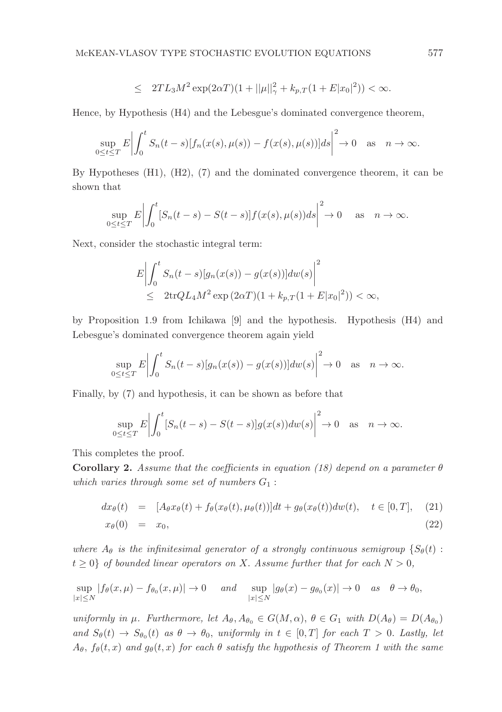$$
\leq 2TL_3M^2\exp(2\alpha T)(1+||\mu||^2_{\gamma}+k_{p,T}(1+E|x_0|^2))<\infty.
$$

Hence, by Hypothesis (H4) and the Lebesgue's dominated convergence theorem,

$$
\sup_{0\leq t\leq T} E\left|\int_0^t S_n(t-s)[f_n(x(s),\mu(s))-f(x(s),\mu(s))]ds\right|^2\to 0 \quad \text{as} \quad n\to\infty.
$$

By Hypotheses (H1), (H2), (7) and the dominated convergence theorem, it can be shown that

$$
\sup_{0\leq t\leq T} E\left|\int_0^t [S_n(t-s)-S(t-s)]f(x(s),\mu(s))ds\right|^2\to 0 \quad \text{as} \quad n\to\infty.
$$

Next, consider the stochastic integral term:

$$
E\left|\int_{0}^{t} S_n(t-s)[g_n(x(s)) - g(x(s))]dw(s)\right|^2
$$
  
 
$$
\leq 2\text{tr}QL_4M^2 \exp(2\alpha T)(1 + k_{p,T}(1 + E|x_0|^2)) < \infty,
$$

by Proposition 1.9 from Ichikawa [9] and the hypothesis. Hypothesis (H4) and Lebesgue's dominated convergence theorem again yield

$$
\sup_{0\leq t\leq T} E\left|\int_0^t S_n(t-s)[g_n(x(s))-g(x(s))]dw(s)\right|^2\to 0 \quad \text{as} \quad n\to\infty.
$$

Finally, by (7) and hypothesis, it can be shown as before that

$$
\sup_{0\leq t\leq T} E\left|\int_0^t [S_n(t-s)-S(t-s)]g(x(s))dw(s)\right|^2\to 0 \quad \text{as} \quad n\to\infty.
$$

This completes the proof.

Corollary 2. Assume that the coefficients in equation (18) depend on a parameter  $\theta$ which varies through some set of numbers  $G_1$ :

$$
dx_{\theta}(t) = [A_{\theta}x_{\theta}(t) + f_{\theta}(x_{\theta}(t), \mu_{\theta}(t))]dt + g_{\theta}(x_{\theta}(t))dw(t), \quad t \in [0, T], \quad (21)
$$

$$
x_{\theta}(0) = x_0, \tag{22}
$$

where  $A_{\theta}$  is the infinitesimal generator of a strongly continuous semigroup  $\{S_{\theta}(t):$  $t \geq 0$  of bounded linear operators on X. Assume further that for each  $N > 0$ ,

$$
\sup_{|x| \le N} |f_{\theta}(x,\mu) - f_{\theta_0}(x,\mu)| \to 0 \quad \text{and} \quad \sup_{|x| \le N} |g_{\theta}(x) - g_{\theta_0}(x)| \to 0 \quad \text{as} \quad \theta \to \theta_0,
$$

uniformly in  $\mu$ . Furthermore, let  $A_{\theta}$ ,  $A_{\theta_0} \in G(M, \alpha)$ ,  $\theta \in G_1$  with  $D(A_{\theta}) = D(A_{\theta_0})$ and  $S_{\theta}(t) \rightarrow S_{\theta_0}(t)$  as  $\theta \rightarrow \theta_0$ , uniformly in  $t \in [0,T]$  for each  $T > 0$ . Lastly, let  $A_{\theta}$ ,  $f_{\theta}(t, x)$  and  $g_{\theta}(t, x)$  for each  $\theta$  satisfy the hypothesis of Theorem 1 with the same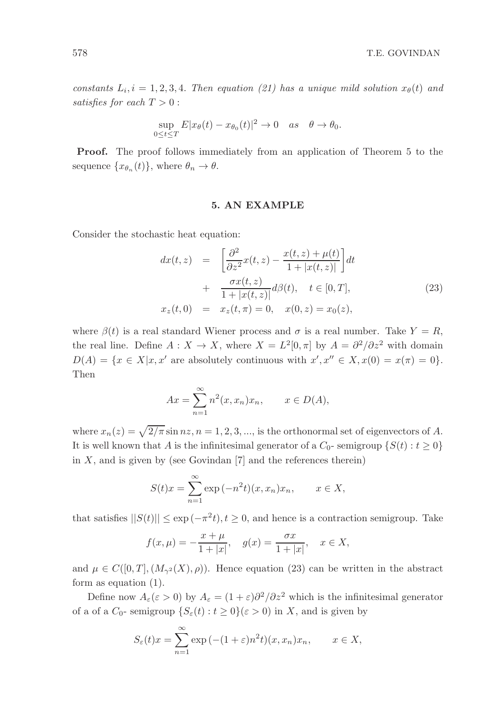constants  $L_i$ ,  $i = 1, 2, 3, 4$ . Then equation (21) has a unique mild solution  $x_{\theta}(t)$  and satisfies for each  $T > 0$ :

$$
\sup_{0\leq t\leq T} E|x_{\theta}(t)-x_{\theta_0}(t)|^2\to 0 \quad as \quad \theta\to \theta_0.
$$

Proof. The proof follows immediately from an application of Theorem 5 to the sequence  $\{x_{\theta_n}(t)\}\$ , where  $\theta_n \to \theta$ .

## 5. AN EXAMPLE

Consider the stochastic heat equation:

$$
dx(t, z) = \left[\frac{\partial^2}{\partial z^2}x(t, z) - \frac{x(t, z) + \mu(t)}{1 + |x(t, z)|}\right]dt + \frac{\sigma x(t, z)}{1 + |x(t, z)|}d\beta(t), \quad t \in [0, T], x_z(t, 0) = x_z(t, \pi) = 0, \quad x(0, z) = x_0(z),
$$
\n(23)

where  $\beta(t)$  is a real standard Wiener process and  $\sigma$  is a real number. Take  $Y = R$ , the real line. Define  $A: X \to X$ , where  $X = L^2[0, \pi]$  by  $A = \partial^2/\partial z^2$  with domain  $D(A) = \{x \in X | x, x' \text{ are absolutely continuous with } x', x'' \in X, x(0) = x(\pi) = 0\}.$ Then

$$
Ax = \sum_{n=1}^{\infty} n^2(x, x_n) x_n, \qquad x \in D(A),
$$

where  $x_n(z) = \sqrt{2/\pi} \sin nz$ ,  $n = 1, 2, 3, \dots$ , is the orthonormal set of eigenvectors of A. It is well known that A is the infinitesimal generator of a  $C_0$ - semigroup  $\{S(t): t \geq 0\}$ in  $X$ , and is given by (see Govindan [7] and the references therein)

$$
S(t)x = \sum_{n=1}^{\infty} \exp(-n^2 t)(x, x_n)x_n, \qquad x \in X,
$$

that satisfies  $||S(t)|| \le \exp(-\pi^2 t), t \ge 0$ , and hence is a contraction semigroup. Take

$$
f(x, \mu) = -\frac{x + \mu}{1 + |x|}, \quad g(x) = \frac{\sigma x}{1 + |x|}, \quad x \in X,
$$

and  $\mu \in C([0,T], (M_{\gamma^2}(X), \rho)).$  Hence equation (23) can be written in the abstract form as equation (1).

Define now  $A_\varepsilon(\varepsilon > 0)$  by  $A_\varepsilon = (1 + \varepsilon)\partial^2/\partial z^2$  which is the infinitesimal generator of a of a  $C_0$ - semigroup  $\{S_\varepsilon(t): t \geq 0\} (\varepsilon > 0)$  in X, and is given by

$$
S_{\varepsilon}(t)x = \sum_{n=1}^{\infty} \exp(-(1+\varepsilon)n^2 t)(x, x_n)x_n, \qquad x \in X,
$$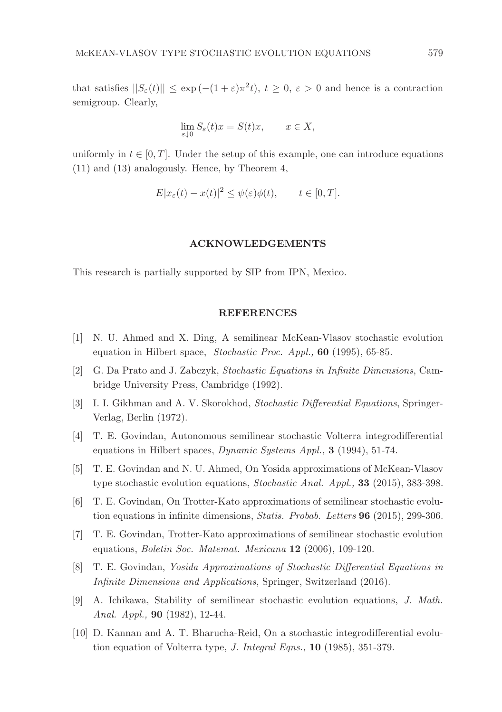that satisfies  $||S_{\varepsilon}(t)|| \leq \exp(-(1+\varepsilon)\pi^2 t), t \geq 0, \varepsilon > 0$  and hence is a contraction semigroup. Clearly,

$$
\lim_{\varepsilon \downarrow 0} S_{\varepsilon}(t)x = S(t)x, \qquad x \in X,
$$

uniformly in  $t \in [0, T]$ . Under the setup of this example, one can introduce equations (11) and (13) analogously. Hence, by Theorem 4,

$$
E|x_{\varepsilon}(t) - x(t)|^2 \le \psi(\varepsilon)\phi(t), \qquad t \in [0, T].
$$

## ACKNOWLEDGEMENTS

This research is partially supported by SIP from IPN, Mexico.

#### REFERENCES

- [1] N. U. Ahmed and X. Ding, A semilinear McKean-Vlasov stochastic evolution equation in Hilbert space, Stochastic Proc. Appl., 60 (1995), 65-85.
- [2] G. Da Prato and J. Zabczyk, Stochastic Equations in Infinite Dimensions, Cambridge University Press, Cambridge (1992).
- [3] I. I. Gikhman and A. V. Skorokhod, Stochastic Differential Equations, Springer-Verlag, Berlin (1972).
- [4] T. E. Govindan, Autonomous semilinear stochastic Volterra integrodifferential equations in Hilbert spaces, Dynamic Systems Appl., 3 (1994), 51-74.
- [5] T. E. Govindan and N. U. Ahmed, On Yosida approximations of McKean-Vlasov type stochastic evolution equations, Stochastic Anal. Appl., 33 (2015), 383-398.
- [6] T. E. Govindan, On Trotter-Kato approximations of semilinear stochastic evolution equations in infinite dimensions, Statis. Probab. Letters 96 (2015), 299-306.
- [7] T. E. Govindan, Trotter-Kato approximations of semilinear stochastic evolution equations, Boletin Soc. Matemat. Mexicana 12 (2006), 109-120.
- [8] T. E. Govindan, Yosida Approximations of Stochastic Differential Equations in Infinite Dimensions and Applications, Springer, Switzerland (2016).
- [9] A. Ichikawa, Stability of semilinear stochastic evolution equations, J. Math. Anal. Appl., 90 (1982), 12-44.
- [10] D. Kannan and A. T. Bharucha-Reid, On a stochastic integrodifferential evolution equation of Volterra type, J. Integral Eqns., 10 (1985), 351-379.